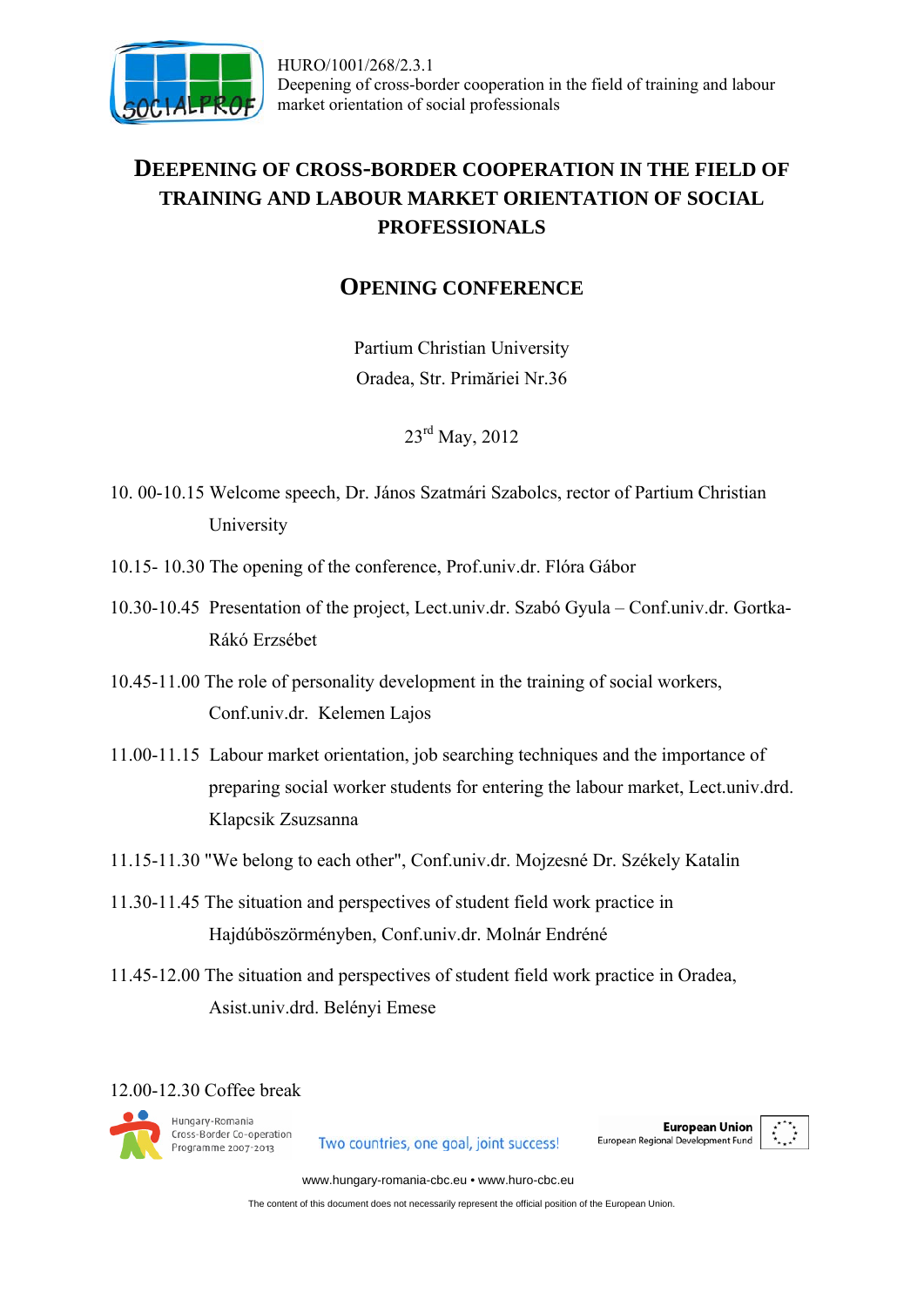

## **DEEPENING OF CROSS-BORDER COOPERATION IN THE FIELD OF TRAINING AND LABOUR MARKET ORIENTATION OF SOCIAL PROFESSIONALS**

## **OPENING CONFERENCE**

Partium Christian University Oradea, Str. Primăriei Nr.36

23<sup>rd</sup> May, 2012

- 10. 00-10.15 Welcome speech, Dr. János Szatmári Szabolcs, rector of Partium Christian University
- 10.15- 10.30 The opening of the conference, Prof.univ.dr. Flóra Gábor
- 10.30-10.45 Presentation of the project, Lect.univ.dr. Szabó Gyula Conf.univ.dr. Gortka-Rákó Erzsébet
- 10.45-11.00 The role of personality development in the training of social workers, Conf.univ.dr. Kelemen Lajos
- 11.00-11.15 Labour market orientation, job searching techniques and the importance of preparing social worker students for entering the labour market, Lect.univ.drd. Klapcsik Zsuzsanna
- 11.15-11.30 "We belong to each other", Conf.univ.dr. Mojzesné Dr. Székely Katalin
- 11.30-11.45 The situation and perspectives of student field work practice in Hajdúböszörményben, Conf.univ.dr. Molnár Endréné
- 11.45-12.00 The situation and perspectives of student field work practice in Oradea, Asist.univ.drd. Belényi Emese

12.00-12.30 Coffee break



Two countries, one goal, joint success!

**European Union** European Regional Development Fund



www.hungary-romania-cbc.eu • www.huro-cbc.eu

The content of this document does not necessarily represent the official position of the European Union.